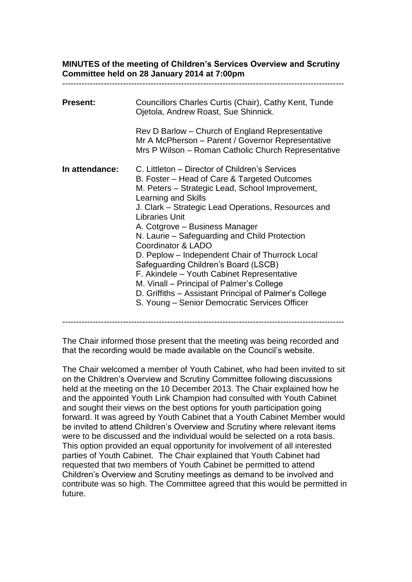# **MINUTES of the meeting of Children's Services Overview and Scrutiny Committee held on 28 January 2014 at 7:00pm**

| <b>Present:</b> | Councillors Charles Curtis (Chair), Cathy Kent, Tunde<br>Ojetola, Andrew Roast, Sue Shinnick.                                                                                                                                                                                                                                                                                                                                                                                                                                                                                                                                                                      |
|-----------------|--------------------------------------------------------------------------------------------------------------------------------------------------------------------------------------------------------------------------------------------------------------------------------------------------------------------------------------------------------------------------------------------------------------------------------------------------------------------------------------------------------------------------------------------------------------------------------------------------------------------------------------------------------------------|
|                 | Rev D Barlow - Church of England Representative<br>Mr A McPherson - Parent / Governor Representative<br>Mrs P Wilson - Roman Catholic Church Representative                                                                                                                                                                                                                                                                                                                                                                                                                                                                                                        |
| In attendance:  | C. Littleton - Director of Children's Services<br>B. Foster – Head of Care & Targeted Outcomes<br>M. Peters – Strategic Lead, School Improvement,<br>Learning and Skills<br>J. Clark – Strategic Lead Operations, Resources and<br><b>Libraries Unit</b><br>A. Cotgrove - Business Manager<br>N. Laurie - Safeguarding and Child Protection<br>Coordinator & LADO<br>D. Peplow – Independent Chair of Thurrock Local<br>Safeguarding Children's Board (LSCB)<br>F. Akindele - Youth Cabinet Representative<br>M. Vinall - Principal of Palmer's College<br>D. Griffiths - Assistant Principal of Palmer's College<br>S. Young - Senior Democratic Services Officer |

#### ------------------------------------------------------------------------------------------------------

The Chair informed those present that the meeting was being recorded and that the recording would be made available on the Council's website.

The Chair welcomed a member of Youth Cabinet, who had been invited to sit on the Children's Overview and Scrutiny Committee following discussions held at the meeting on the 10 December 2013. The Chair explained how he and the appointed Youth Link Champion had consulted with Youth Cabinet and sought their views on the best options for youth participation going forward. It was agreed by Youth Cabinet that a Youth Cabinet Member would be invited to attend Children's Overview and Scrutiny where relevant items were to be discussed and the individual would be selected on a rota basis. This option provided an equal opportunity for involvement of all interested parties of Youth Cabinet. The Chair explained that Youth Cabinet had requested that two members of Youth Cabinet be permitted to attend Children's Overview and Scrutiny meetings as demand to be involved and contribute was so high. The Committee agreed that this would be permitted in future.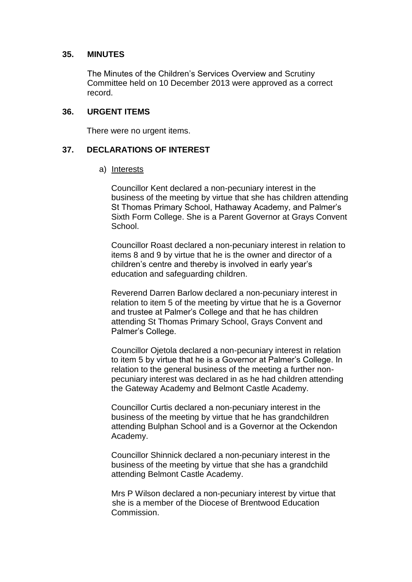#### **35. MINUTES**

The Minutes of the Children's Services Overview and Scrutiny Committee held on 10 December 2013 were approved as a correct record.

#### **36. URGENT ITEMS**

There were no urgent items.

### **37. DECLARATIONS OF INTEREST**

#### a) Interests

Councillor Kent declared a non-pecuniary interest in the business of the meeting by virtue that she has children attending St Thomas Primary School, Hathaway Academy, and Palmer's Sixth Form College. She is a Parent Governor at Grays Convent School.

Councillor Roast declared a non-pecuniary interest in relation to items 8 and 9 by virtue that he is the owner and director of a children's centre and thereby is involved in early year's education and safeguarding children.

Reverend Darren Barlow declared a non-pecuniary interest in relation to item 5 of the meeting by virtue that he is a Governor and trustee at Palmer's College and that he has children attending St Thomas Primary School, Grays Convent and Palmer's College.

Councillor Ojetola declared a non-pecuniary interest in relation to item 5 by virtue that he is a Governor at Palmer's College. In relation to the general business of the meeting a further nonpecuniary interest was declared in as he had children attending the Gateway Academy and Belmont Castle Academy.

Councillor Curtis declared a non-pecuniary interest in the business of the meeting by virtue that he has grandchildren attending Bulphan School and is a Governor at the Ockendon Academy.

Councillor Shinnick declared a non-pecuniary interest in the business of the meeting by virtue that she has a grandchild attending Belmont Castle Academy.

Mrs P Wilson declared a non-pecuniary interest by virtue that she is a member of the Diocese of Brentwood Education Commission.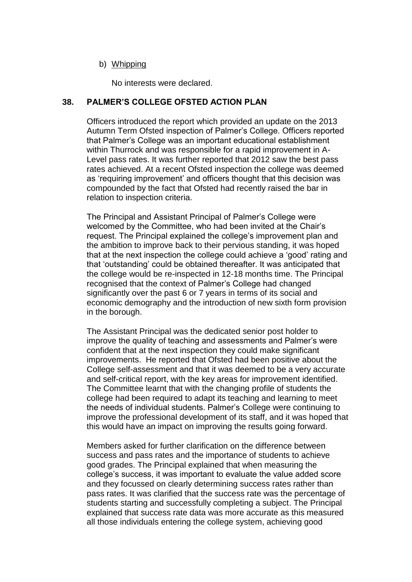#### b) Whipping

No interests were declared.

### **38. PALMER'S COLLEGE OFSTED ACTION PLAN**

Officers introduced the report which provided an update on the 2013 Autumn Term Ofsted inspection of Palmer's College. Officers reported that Palmer's College was an important educational establishment within Thurrock and was responsible for a rapid improvement in A-Level pass rates. It was further reported that 2012 saw the best pass rates achieved. At a recent Ofsted inspection the college was deemed as 'requiring improvement' and officers thought that this decision was compounded by the fact that Ofsted had recently raised the bar in relation to inspection criteria.

The Principal and Assistant Principal of Palmer's College were welcomed by the Committee, who had been invited at the Chair's request. The Principal explained the college's improvement plan and the ambition to improve back to their pervious standing, it was hoped that at the next inspection the college could achieve a 'good' rating and that 'outstanding' could be obtained thereafter. It was anticipated that the college would be re-inspected in 12-18 months time. The Principal recognised that the context of Palmer's College had changed significantly over the past 6 or 7 years in terms of its social and economic demography and the introduction of new sixth form provision in the borough.

The Assistant Principal was the dedicated senior post holder to improve the quality of teaching and assessments and Palmer's were confident that at the next inspection they could make significant improvements. He reported that Ofsted had been positive about the College self-assessment and that it was deemed to be a very accurate and self-critical report, with the key areas for improvement identified. The Committee learnt that with the changing profile of students the college had been required to adapt its teaching and learning to meet the needs of individual students. Palmer's College were continuing to improve the professional development of its staff, and it was hoped that this would have an impact on improving the results going forward.

Members asked for further clarification on the difference between success and pass rates and the importance of students to achieve good grades. The Principal explained that when measuring the college's success, it was important to evaluate the value added score and they focussed on clearly determining success rates rather than pass rates. It was clarified that the success rate was the percentage of students starting and successfully completing a subject. The Principal explained that success rate data was more accurate as this measured all those individuals entering the college system, achieving good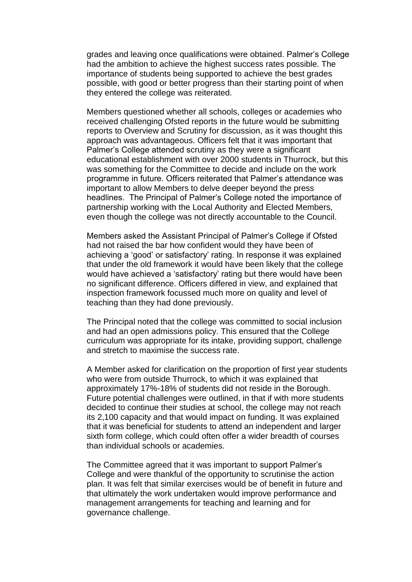grades and leaving once qualifications were obtained. Palmer's College had the ambition to achieve the highest success rates possible. The importance of students being supported to achieve the best grades possible, with good or better progress than their starting point of when they entered the college was reiterated.

Members questioned whether all schools, colleges or academies who received challenging Ofsted reports in the future would be submitting reports to Overview and Scrutiny for discussion, as it was thought this approach was advantageous. Officers felt that it was important that Palmer's College attended scrutiny as they were a significant educational establishment with over 2000 students in Thurrock, but this was something for the Committee to decide and include on the work programme in future. Officers reiterated that Palmer's attendance was important to allow Members to delve deeper beyond the press headlines. The Principal of Palmer's College noted the importance of partnership working with the Local Authority and Elected Members, even though the college was not directly accountable to the Council.

Members asked the Assistant Principal of Palmer's College if Ofsted had not raised the bar how confident would they have been of achieving a 'good' or satisfactory' rating. In response it was explained that under the old framework it would have been likely that the college would have achieved a 'satisfactory' rating but there would have been no significant difference. Officers differed in view, and explained that inspection framework focussed much more on quality and level of teaching than they had done previously.

The Principal noted that the college was committed to social inclusion and had an open admissions policy. This ensured that the College curriculum was appropriate for its intake, providing support, challenge and stretch to maximise the success rate.

A Member asked for clarification on the proportion of first year students who were from outside Thurrock, to which it was explained that approximately 17%-18% of students did not reside in the Borough. Future potential challenges were outlined, in that if with more students decided to continue their studies at school, the college may not reach its 2,100 capacity and that would impact on funding. It was explained that it was beneficial for students to attend an independent and larger sixth form college, which could often offer a wider breadth of courses than individual schools or academies.

The Committee agreed that it was important to support Palmer's College and were thankful of the opportunity to scrutinise the action plan. It was felt that similar exercises would be of benefit in future and that ultimately the work undertaken would improve performance and management arrangements for teaching and learning and for governance challenge.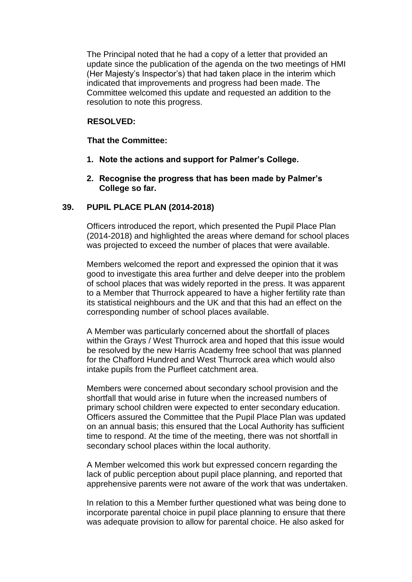The Principal noted that he had a copy of a letter that provided an update since the publication of the agenda on the two meetings of HMI (Her Majesty's Inspector's) that had taken place in the interim which indicated that improvements and progress had been made. The Committee welcomed this update and requested an addition to the resolution to note this progress.

#### **RESOLVED:**

#### **That the Committee:**

- **1. Note the actions and support for Palmer's College.**
- **2. Recognise the progress that has been made by Palmer's College so far.**

#### **39. PUPIL PLACE PLAN (2014-2018)**

Officers introduced the report, which presented the Pupil Place Plan (2014-2018) and highlighted the areas where demand for school places was projected to exceed the number of places that were available.

Members welcomed the report and expressed the opinion that it was good to investigate this area further and delve deeper into the problem of school places that was widely reported in the press. It was apparent to a Member that Thurrock appeared to have a higher fertility rate than its statistical neighbours and the UK and that this had an effect on the corresponding number of school places available.

A Member was particularly concerned about the shortfall of places within the Grays / West Thurrock area and hoped that this issue would be resolved by the new Harris Academy free school that was planned for the Chafford Hundred and West Thurrock area which would also intake pupils from the Purfleet catchment area.

Members were concerned about secondary school provision and the shortfall that would arise in future when the increased numbers of primary school children were expected to enter secondary education. Officers assured the Committee that the Pupil Place Plan was updated on an annual basis; this ensured that the Local Authority has sufficient time to respond. At the time of the meeting, there was not shortfall in secondary school places within the local authority.

A Member welcomed this work but expressed concern regarding the lack of public perception about pupil place planning, and reported that apprehensive parents were not aware of the work that was undertaken.

In relation to this a Member further questioned what was being done to incorporate parental choice in pupil place planning to ensure that there was adequate provision to allow for parental choice. He also asked for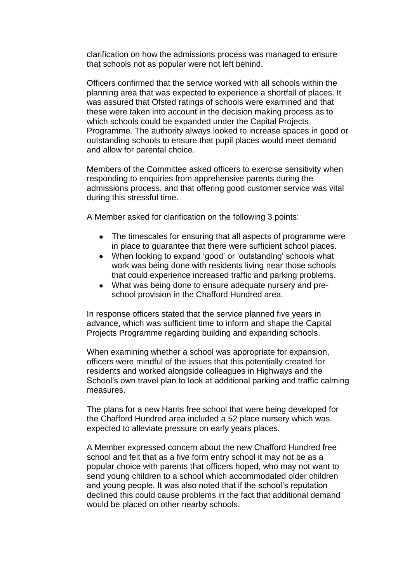clarification on how the admissions process was managed to ensure that schools not as popular were not left behind.

Officers confirmed that the service worked with all schools within the planning area that was expected to experience a shortfall of places. It was assured that Ofsted ratings of schools were examined and that these were taken into account in the decision making process as to which schools could be expanded under the Capital Projects Programme. The authority always looked to increase spaces in good or outstanding schools to ensure that pupil places would meet demand and allow for parental choice.

Members of the Committee asked officers to exercise sensitivity when responding to enquiries from apprehensive parents during the admissions process, and that offering good customer service was vital during this stressful time.

A Member asked for clarification on the following 3 points:

- The timescales for ensuring that all aspects of programme were in place to guarantee that there were sufficient school places.
- When looking to expand 'good' or 'outstanding' schools what work was being done with residents living near those schools that could experience increased traffic and parking problems.
- What was being done to ensure adequate nursery and preschool provision in the Chafford Hundred area.

In response officers stated that the service planned five years in advance, which was sufficient time to inform and shape the Capital Projects Programme regarding building and expanding schools.

When examining whether a school was appropriate for expansion, officers were mindful of the issues that this potentially created for residents and worked alongside colleagues in Highways and the School's own travel plan to look at additional parking and traffic calming measures.

The plans for a new Harris free school that were being developed for the Chafford Hundred area included a 52 place nursery which was expected to alleviate pressure on early years places.

A Member expressed concern about the new Chafford Hundred free school and felt that as a five form entry school it may not be as a popular choice with parents that officers hoped, who may not want to send young children to a school which accommodated older children and young people. It was also noted that if the school's reputation declined this could cause problems in the fact that additional demand would be placed on other nearby schools.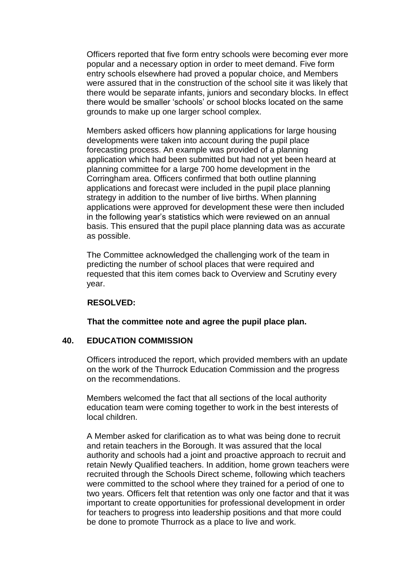Officers reported that five form entry schools were becoming ever more popular and a necessary option in order to meet demand. Five form entry schools elsewhere had proved a popular choice, and Members were assured that in the construction of the school site it was likely that there would be separate infants, juniors and secondary blocks. In effect there would be smaller 'schools' or school blocks located on the same grounds to make up one larger school complex.

Members asked officers how planning applications for large housing developments were taken into account during the pupil place forecasting process. An example was provided of a planning application which had been submitted but had not yet been heard at planning committee for a large 700 home development in the Corringham area. Officers confirmed that both outline planning applications and forecast were included in the pupil place planning strategy in addition to the number of live births. When planning applications were approved for development these were then included in the following year's statistics which were reviewed on an annual basis. This ensured that the pupil place planning data was as accurate as possible.

The Committee acknowledged the challenging work of the team in predicting the number of school places that were required and requested that this item comes back to Overview and Scrutiny every year.

#### **RESOLVED:**

**That the committee note and agree the pupil place plan.** 

### **40. EDUCATION COMMISSION**

Officers introduced the report, which provided members with an update on the work of the Thurrock Education Commission and the progress on the recommendations.

Members welcomed the fact that all sections of the local authority education team were coming together to work in the best interests of local children.

A Member asked for clarification as to what was being done to recruit and retain teachers in the Borough. It was assured that the local authority and schools had a joint and proactive approach to recruit and retain Newly Qualified teachers. In addition, home grown teachers were recruited through the Schools Direct scheme, following which teachers were committed to the school where they trained for a period of one to two years. Officers felt that retention was only one factor and that it was important to create opportunities for professional development in order for teachers to progress into leadership positions and that more could be done to promote Thurrock as a place to live and work.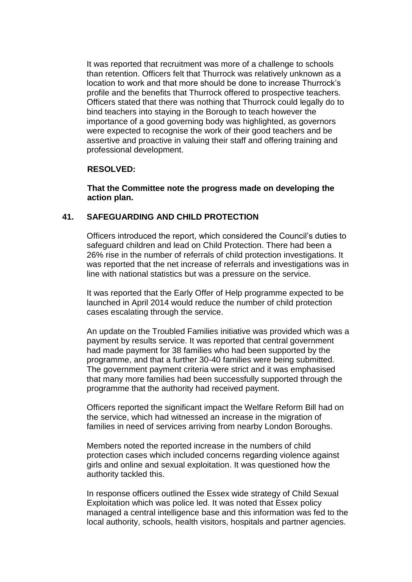It was reported that recruitment was more of a challenge to schools than retention. Officers felt that Thurrock was relatively unknown as a location to work and that more should be done to increase Thurrock's profile and the benefits that Thurrock offered to prospective teachers. Officers stated that there was nothing that Thurrock could legally do to bind teachers into staying in the Borough to teach however the importance of a good governing body was highlighted, as governors were expected to recognise the work of their good teachers and be assertive and proactive in valuing their staff and offering training and professional development.

#### **RESOLVED:**

**That the Committee note the progress made on developing the action plan.** 

# **41. SAFEGUARDING AND CHILD PROTECTION**

Officers introduced the report, which considered the Council's duties to safeguard children and lead on Child Protection. There had been a 26% rise in the number of referrals of child protection investigations. It was reported that the net increase of referrals and investigations was in line with national statistics but was a pressure on the service.

It was reported that the Early Offer of Help programme expected to be launched in April 2014 would reduce the number of child protection cases escalating through the service.

An update on the Troubled Families initiative was provided which was a payment by results service. It was reported that central government had made payment for 38 families who had been supported by the programme, and that a further 30-40 families were being submitted. The government payment criteria were strict and it was emphasised that many more families had been successfully supported through the programme that the authority had received payment.

Officers reported the significant impact the Welfare Reform Bill had on the service, which had witnessed an increase in the migration of families in need of services arriving from nearby London Boroughs.

Members noted the reported increase in the numbers of child protection cases which included concerns regarding violence against girls and online and sexual exploitation. It was questioned how the authority tackled this.

In response officers outlined the Essex wide strategy of Child Sexual Exploitation which was police led. It was noted that Essex policy managed a central intelligence base and this information was fed to the local authority, schools, health visitors, hospitals and partner agencies.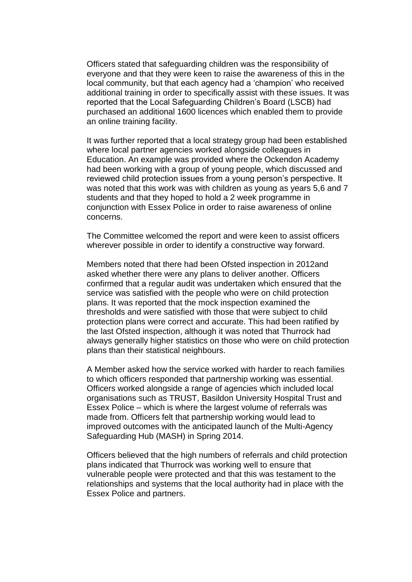Officers stated that safeguarding children was the responsibility of everyone and that they were keen to raise the awareness of this in the local community, but that each agency had a 'champion' who received additional training in order to specifically assist with these issues. It was reported that the Local Safeguarding Children's Board (LSCB) had purchased an additional 1600 licences which enabled them to provide an online training facility.

It was further reported that a local strategy group had been established where local partner agencies worked alongside colleagues in Education. An example was provided where the Ockendon Academy had been working with a group of young people, which discussed and reviewed child protection issues from a young person's perspective. It was noted that this work was with children as young as years 5,6 and 7 students and that they hoped to hold a 2 week programme in conjunction with Essex Police in order to raise awareness of online concerns.

The Committee welcomed the report and were keen to assist officers wherever possible in order to identify a constructive way forward.

Members noted that there had been Ofsted inspection in 2012and asked whether there were any plans to deliver another. Officers confirmed that a regular audit was undertaken which ensured that the service was satisfied with the people who were on child protection plans. It was reported that the mock inspection examined the thresholds and were satisfied with those that were subject to child protection plans were correct and accurate. This had been ratified by the last Ofsted inspection, although it was noted that Thurrock had always generally higher statistics on those who were on child protection plans than their statistical neighbours.

A Member asked how the service worked with harder to reach families to which officers responded that partnership working was essential. Officers worked alongside a range of agencies which included local organisations such as TRUST, Basildon University Hospital Trust and Essex Police – which is where the largest volume of referrals was made from. Officers felt that partnership working would lead to improved outcomes with the anticipated launch of the Multi-Agency Safeguarding Hub (MASH) in Spring 2014.

Officers believed that the high numbers of referrals and child protection plans indicated that Thurrock was working well to ensure that vulnerable people were protected and that this was testament to the relationships and systems that the local authority had in place with the Essex Police and partners.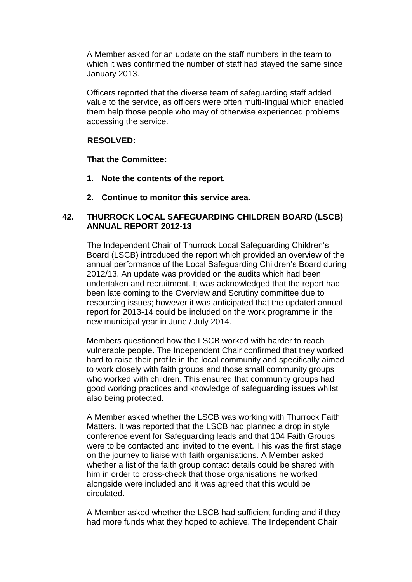A Member asked for an update on the staff numbers in the team to which it was confirmed the number of staff had stayed the same since January 2013.

Officers reported that the diverse team of safeguarding staff added value to the service, as officers were often multi-lingual which enabled them help those people who may of otherwise experienced problems accessing the service.

# **RESOLVED:**

**That the Committee:**

- **1. Note the contents of the report.**
- **2. Continue to monitor this service area.**

#### **42. THURROCK LOCAL SAFEGUARDING CHILDREN BOARD (LSCB) ANNUAL REPORT 2012-13**

The Independent Chair of Thurrock Local Safeguarding Children's Board (LSCB) introduced the report which provided an overview of the annual performance of the Local Safeguarding Children's Board during 2012/13. An update was provided on the audits which had been undertaken and recruitment. It was acknowledged that the report had been late coming to the Overview and Scrutiny committee due to resourcing issues; however it was anticipated that the updated annual report for 2013-14 could be included on the work programme in the new municipal year in June / July 2014.

Members questioned how the LSCB worked with harder to reach vulnerable people. The Independent Chair confirmed that they worked hard to raise their profile in the local community and specifically aimed to work closely with faith groups and those small community groups who worked with children. This ensured that community groups had good working practices and knowledge of safeguarding issues whilst also being protected.

A Member asked whether the LSCB was working with Thurrock Faith Matters. It was reported that the LSCB had planned a drop in style conference event for Safeguarding leads and that 104 Faith Groups were to be contacted and invited to the event. This was the first stage on the journey to liaise with faith organisations. A Member asked whether a list of the faith group contact details could be shared with him in order to cross-check that those organisations he worked alongside were included and it was agreed that this would be circulated.

A Member asked whether the LSCB had sufficient funding and if they had more funds what they hoped to achieve. The Independent Chair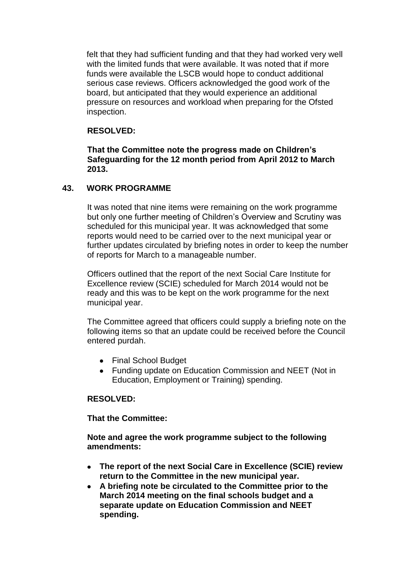felt that they had sufficient funding and that they had worked very well with the limited funds that were available. It was noted that if more funds were available the LSCB would hope to conduct additional serious case reviews. Officers acknowledged the good work of the board, but anticipated that they would experience an additional pressure on resources and workload when preparing for the Ofsted inspection.

# **RESOLVED:**

**That the Committee note the progress made on Children's Safeguarding for the 12 month period from April 2012 to March 2013.**

### **43. WORK PROGRAMME**

It was noted that nine items were remaining on the work programme but only one further meeting of Children's Overview and Scrutiny was scheduled for this municipal year. It was acknowledged that some reports would need to be carried over to the next municipal year or further updates circulated by briefing notes in order to keep the number of reports for March to a manageable number.

Officers outlined that the report of the next Social Care Institute for Excellence review (SCIE) scheduled for March 2014 would not be ready and this was to be kept on the work programme for the next municipal year.

The Committee agreed that officers could supply a briefing note on the following items so that an update could be received before the Council entered purdah.

- Final School Budget
- Funding update on Education Commission and NEET (Not in Education, Employment or Training) spending.

### **RESOLVED:**

**That the Committee:**

**Note and agree the work programme subject to the following amendments:**

- **The report of the next Social Care in Excellence (SCIE) review return to the Committee in the new municipal year.**
- **A briefing note be circulated to the Committee prior to the March 2014 meeting on the final schools budget and a separate update on Education Commission and NEET spending.**